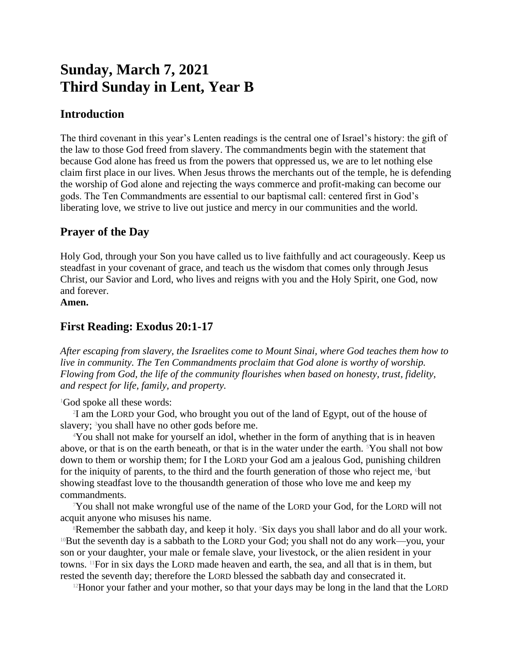# **Sunday, March 7, 2021 Third Sunday in Lent, Year B**

## **Introduction**

The third covenant in this year's Lenten readings is the central one of Israel's history: the gift of the law to those God freed from slavery. The commandments begin with the statement that because God alone has freed us from the powers that oppressed us, we are to let nothing else claim first place in our lives. When Jesus throws the merchants out of the temple, he is defending the worship of God alone and rejecting the ways commerce and profit-making can become our gods. The Ten Commandments are essential to our baptismal call: centered first in God's liberating love, we strive to live out justice and mercy in our communities and the world.

## **Prayer of the Day**

Holy God, through your Son you have called us to live faithfully and act courageously. Keep us steadfast in your covenant of grace, and teach us the wisdom that comes only through Jesus Christ, our Savior and Lord, who lives and reigns with you and the Holy Spirit, one God, now and forever.

**Amen.**

# **First Reading: Exodus 20:1-17**

*After escaping from slavery, the Israelites come to Mount Sinai, where God teaches them how to live in community. The Ten Commandments proclaim that God alone is worthy of worship. Flowing from God, the life of the community flourishes when based on honesty, trust, fidelity, and respect for life, family, and property.*

#### <sup>1</sup>God spoke all these words:

2 I am the LORD your God, who brought you out of the land of Egypt, out of the house of slavery; <sup>3</sup>you shall have no other gods before me.

<sup>4</sup>You shall not make for yourself an idol, whether in the form of anything that is in heaven above, or that is on the earth beneath, or that is in the water under the earth.  $5$ You shall not bow down to them or worship them; for I the LORD your God am a jealous God, punishing children for the iniquity of parents, to the third and the fourth generation of those who reject me, <sup>6</sup>but showing steadfast love to the thousandth generation of those who love me and keep my commandments.

 $7$ You shall not make wrongful use of the name of the LORD your God, for the LORD will not acquit anyone who misuses his name.

<sup>8</sup>Remember the sabbath day, and keep it holy. <sup>9</sup>Six days you shall labor and do all your work. <sup>10</sup>But the seventh day is a sabbath to the LORD your God; you shall not do any work—you, your son or your daughter, your male or female slave, your livestock, or the alien resident in your towns. 11For in six days the LORD made heaven and earth, the sea, and all that is in them, but rested the seventh day; therefore the LORD blessed the sabbath day and consecrated it.

 $12$ Honor your father and your mother, so that your days may be long in the land that the LORD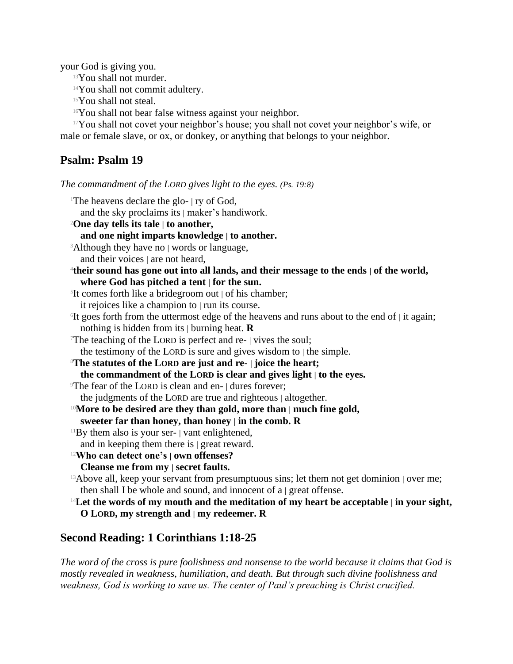your God is giving you.

<sup>13</sup>You shall not murder.

<sup>14</sup>You shall not commit adultery.

<sup>15</sup>You shall not steal.

<sup>16</sup>You shall not bear false witness against your neighbor.

<sup>17</sup>You shall not covet your neighbor's house; you shall not covet your neighbor's wife, or male or female slave, or ox, or donkey, or anything that belongs to your neighbor.

# **Psalm: Psalm 19**

*The commandment of the LORD gives light to the eyes. (Ps. 19:8)*

| <sup>1</sup> The heavens declare the glo- $ $ ry of God,                                                                                                                |
|-------------------------------------------------------------------------------------------------------------------------------------------------------------------------|
| and the sky proclaims its   maker's handiwork.                                                                                                                          |
| <sup>2</sup> One day tells its tale   to another,                                                                                                                       |
| and one night imparts knowledge   to another.                                                                                                                           |
| <sup>3</sup> Although they have no   words or language,                                                                                                                 |
| and their voices $ $ are not heard,                                                                                                                                     |
| <sup>4</sup> their sound has gone out into all lands, and their message to the ends   of the world,                                                                     |
| where God has pitched a tent   for the sun.                                                                                                                             |
| <sup>5</sup> It comes forth like a bridegroom out   of his chamber;                                                                                                     |
| it rejoices like a champion to   run its course.                                                                                                                        |
| <sup>6</sup> It goes forth from the uttermost edge of the heavens and runs about to the end of   it again;<br>nothing is hidden from its $\vert$ burning heat. <b>R</b> |
| The teaching of the LORD is perfect and re- $\vert$ vives the soul;                                                                                                     |
| the testimony of the LORD is sure and gives wisdom to   the simple.                                                                                                     |
| <sup>8</sup> The statutes of the LORD are just and re-   joice the heart;                                                                                               |
| the commandment of the LORD is clear and gives light   to the eyes.                                                                                                     |
| The fear of the LORD is clean and en-   dures forever;                                                                                                                  |
| the judgments of the LORD are true and righteous   altogether.                                                                                                          |
| <sup>10</sup> More to be desired are they than gold, more than   much fine gold,                                                                                        |
| sweeter far than honey, than honey $ $ in the comb. R                                                                                                                   |
| $11$ By them also is your ser- $\vert$ vant enlightened,                                                                                                                |
| and in keeping them there is $ $ great reward.                                                                                                                          |
| <sup>12</sup> Who can detect one's   own offenses?                                                                                                                      |
| Cleanse me from my   secret faults.                                                                                                                                     |
| <sup>13</sup> Above all, keep your servant from presumptuous sins; let them not get dominion   over me;                                                                 |
| then shall I be whole and sound, and innocent of $a \mid$ great offense.                                                                                                |
| $14$ Let the words of my mouth and the meditation of my heart be acceptable   in your sight,                                                                            |
| O LORD, my strength and $\vert$ my redeemer. R                                                                                                                          |

## **Second Reading: 1 Corinthians 1:18-25**

*The word of the cross is pure foolishness and nonsense to the world because it claims that God is mostly revealed in weakness, humiliation, and death. But through such divine foolishness and weakness, God is working to save us. The center of Paul's preaching is Christ crucified.*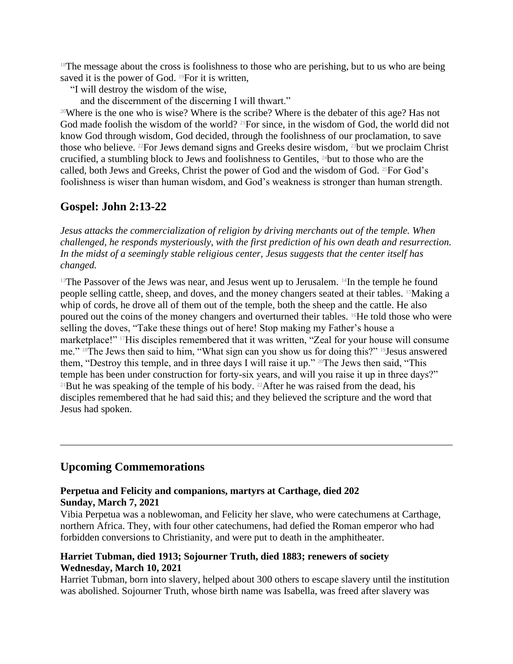$18$ The message about the cross is foolishness to those who are perishing, but to us who are being saved it is the power of God. <sup>19</sup>For it is written,

"I will destroy the wisdom of the wise,

and the discernment of the discerning I will thwart."

<sup>20</sup>Where is the one who is wise? Where is the scribe? Where is the debater of this age? Has not God made foolish the wisdom of the world? <sup>21</sup>For since, in the wisdom of God, the world did not know God through wisdom, God decided, through the foolishness of our proclamation, to save those who believe. 22For Jews demand signs and Greeks desire wisdom, 23but we proclaim Christ crucified, a stumbling block to Jews and foolishness to Gentiles, 24but to those who are the called, both Jews and Greeks, Christ the power of God and the wisdom of God. 25For God's foolishness is wiser than human wisdom, and God's weakness is stronger than human strength.

## **Gospel: John 2:13-22**

*Jesus attacks the commercialization of religion by driving merchants out of the temple. When challenged, he responds mysteriously, with the first prediction of his own death and resurrection. In the midst of a seemingly stable religious center, Jesus suggests that the center itself has changed.*

<sup>13</sup>The Passover of the Jews was near, and Jesus went up to Jerusalem. <sup>14</sup>In the temple he found people selling cattle, sheep, and doves, and the money changers seated at their tables. 15Making a whip of cords, he drove all of them out of the temple, both the sheep and the cattle. He also poured out the coins of the money changers and overturned their tables. 16He told those who were selling the doves, "Take these things out of here! Stop making my Father's house a marketplace!" <sup>17</sup>His disciples remembered that it was written, "Zeal for your house will consume me." 18The Jews then said to him, "What sign can you show us for doing this?" 19Jesus answered them, "Destroy this temple, and in three days I will raise it up." 20The Jews then said, "This temple has been under construction for forty-six years, and will you raise it up in three days?" <sup>21</sup>But he was speaking of the temple of his body. <sup>22</sup>After he was raised from the dead, his disciples remembered that he had said this; and they believed the scripture and the word that Jesus had spoken.

## **Upcoming Commemorations**

#### **Perpetua and Felicity and companions, martyrs at Carthage, died 202 Sunday, March 7, 2021**

Vibia Perpetua was a noblewoman, and Felicity her slave, who were catechumens at Carthage, northern Africa. They, with four other catechumens, had defied the Roman emperor who had forbidden conversions to Christianity, and were put to death in the amphitheater.

#### **Harriet Tubman, died 1913; Sojourner Truth, died 1883; renewers of society Wednesday, March 10, 2021**

Harriet Tubman, born into slavery, helped about 300 others to escape slavery until the institution was abolished. Sojourner Truth, whose birth name was Isabella, was freed after slavery was